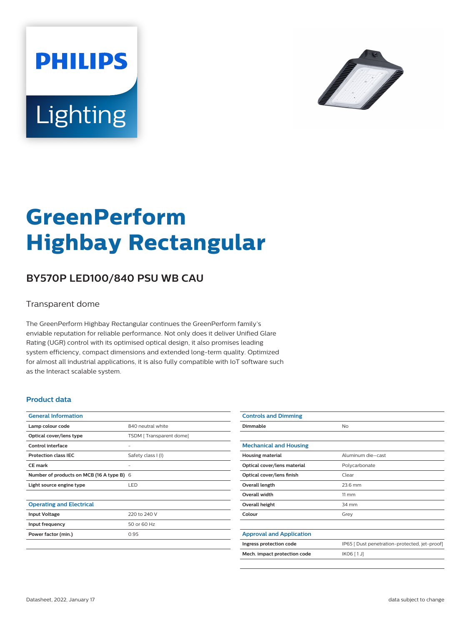



# **GreenPerform Highbay Rectangular**

## **BY570P LED100/840 PSU WB CAU**

#### Transparent dome

The GreenPerform Highbay Rectangular continues the GreenPerform family's enviable reputation for reliable performance. Not only does it deliver Unified Glare Rating (UGR) control with its optimised optical design, it also promises leading system efficiency, compact dimensions and extended long-term quality. Optimized for almost all industrial applications, it is also fully compatible with IoT software such as the Interact scalable system.

#### **Product data**

| <b>General Information</b>                |                         |
|-------------------------------------------|-------------------------|
| Lamp colour code                          | 840 neutral white       |
| Optical cover/lens type                   | TSDM [Transparent dome] |
| Control interface                         |                         |
| <b>Protection class IEC</b>               | Safety class I (I)      |
| CF mark                                   |                         |
| Number of products on MCB (16 A type B) 6 |                         |
| Light source engine type                  | <b>LED</b>              |
|                                           |                         |
| <b>Operating and Electrical</b>           |                         |
| <b>Input Voltage</b>                      | 220 to 240 V            |
| Input frequency                           | 50 or 60 Hz             |
| Power factor (min.)                       | 0.95                    |
|                                           |                         |

| <b>Controls and Dimming</b>     |                                               |
|---------------------------------|-----------------------------------------------|
| Dimmable                        | No                                            |
|                                 |                                               |
| <b>Mechanical and Housing</b>   |                                               |
| <b>Housing material</b>         | Aluminum die-cast                             |
| Optical cover/lens material     | Polycarbonate                                 |
| Optical cover/lens finish       | Clear                                         |
| Overall length                  | 23.6 mm                                       |
| <b>Overall width</b>            | $11 \, \mathrm{mm}$                           |
| Overall height                  | 34 mm                                         |
| Colour                          | Grey                                          |
|                                 |                                               |
| <b>Approval and Application</b> |                                               |
| Ingress protection code         | IP65 [ Dust penetration-protected, jet-proof] |
| Mech. impact protection code    | IK06 [1J]                                     |
|                                 |                                               |